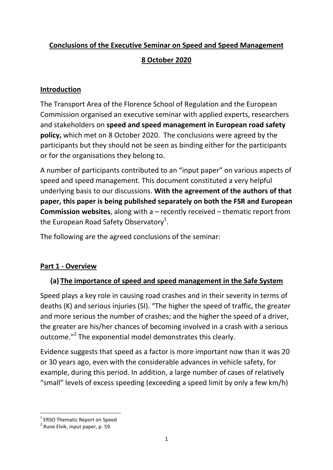## **Conclusions of the Executive Seminar on Speed and Speed Management**

## **8 October 2020**

#### **Introduction**

The Transport Area of the Florence School of Regulation and the European Commission organised an executive seminar with applied experts, researchers and stakeholders on **speed and speed management in European road safety policy,** which met on 8 October 2020. The conclusions were agreed by the participants but they should not be seen as binding either for the participants or for the organisations they belong to.

A number of participants contributed to an "input paper" on various aspects of speed and speed management. This document constituted a very helpful underlying basis to our discussions. **With the agreement of the authors of that paper, this paper is being published separately on both the FSR and European Commission websites**, along with a – recently received – thematic report from the European Road Safety Observatory<sup>1</sup>.

The following are the agreed conclusions of the seminar:

## **Part 1 - Overview**

# **(a) The importance of speed and speed management in the Safe System**

Speed plays a key role in causing road crashes and in their severity in terms of deaths (K) and serious injuries (SI). "The higher the speed of traffic, the greater and more serious the number of crashes; and the higher the speed of a driver, the greater are his/her chances of becoming involved in a crash with a serious outcome."<sup>2</sup> The exponential model demonstrates this clearly.

Evidence suggests that speed as a factor is more important now than it was 20 or 30 years ago, even with the considerable advances in vehicle safety, for example, during this period. In addition, a large number of cases of relatively "small" levels of excess speeding (exceeding a speed limit by only a few km/h)

<sup>1</sup> <sup>1</sup> ERSO Thematic Report on Speed

<sup>&</sup>lt;sup>2</sup> Rune Elvik, input paper, p. 59.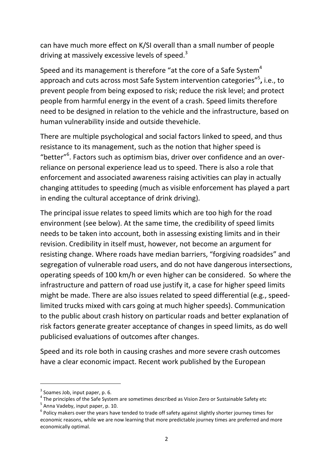can have much more effect on K/SI overall than a small number of people driving at massively excessive levels of speed.<sup>3</sup>

Speed and its management is therefore "at the core of a Safe System" approach and cuts across most Safe System intervention categories", i.e., to prevent people from being exposed to risk; reduce the risk level; and protect people from harmful energy in the event of a crash. Speed limits therefore need to be designed in relation to the vehicle and the infrastructure, based on human vulnerability inside and outside thevehicle.

There are multiple psychological and social factors linked to speed, and thus resistance to its management, such as the notion that higher speed is "better"<sup>6</sup>. Factors such as optimism bias, driver over confidence and an overreliance on personal experience lead us to speed. There is also a role that enforcement and associated awareness raising activities can play in actually changing attitudes to speeding (much as visible enforcement has played a part in ending the cultural acceptance of drink driving).

The principal issue relates to speed limits which are too high for the road environment (see below). At the same time, the credibility of speed limits needs to be taken into account, both in assessing existing limits and in their revision. Credibility in itself must, however, not become an argument for resisting change. Where roads have median barriers, "forgiving roadsides" and segregation of vulnerable road users, and do not have dangerous intersections, operating speeds of 100 km/h or even higher can be considered. So where the infrastructure and pattern of road use justify it, a case for higher speed limits might be made. There are also issues related to speed differential (e.g., speedlimited trucks mixed with cars going at much higher speeds). Communication to the public about crash history on particular roads and better explanation of risk factors generate greater acceptance of changes in speed limits, as do well publicised evaluations of outcomes after changes.

Speed and its role both in causing crashes and more severe crash outcomes have a clear economic impact. Recent work published by the European

1

 $3$  Soames Job, input paper, p. 6.

 $^4$  The principles of the Safe System are sometimes described as Vision Zero or Sustainable Safety etc

<sup>&</sup>lt;sup>5</sup> Anna Vadeby, input paper, p. 10.

 $^6$  Policy makers over the years have tended to trade off safety against slightly shorter journey times for economic reasons, while we are now learning that more predictable journey times are preferred and more economically optimal.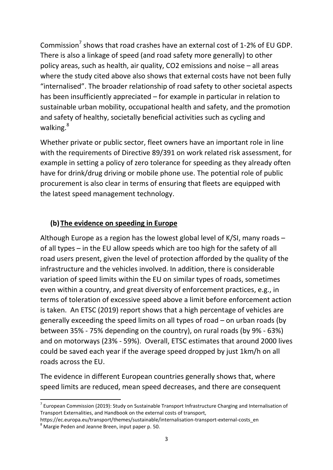Commission<sup>7</sup> shows that road crashes have an external cost of 1-2% of EU GDP. There is also a linkage of speed (and road safety more generally) to other policy areas, such as health, air quality, CO2 emissions and noise – all areas where the study cited above also shows that external costs have not been fully "internalised". The broader relationship of road safety to other societal aspects has been insufficiently appreciated – for example in particular in relation to sustainable urban mobility, occupational health and safety, and the promotion and safety of healthy, societally beneficial activities such as cycling and walking.<sup>8</sup>

Whether private or public sector, fleet owners have an important role in line with the requirements of Directive 89/391 on work related risk assessment, for example in setting a policy of zero tolerance for speeding as they already often have for drink/drug driving or mobile phone use. The potential role of public procurement is also clear in terms of ensuring that fleets are equipped with the latest speed management technology.

# **(b) The evidence on speeding in Europe**

Although Europe as a region has the lowest global level of K/SI, many roads – of all types – in the EU allow speeds which are too high for the safety of all road users present, given the level of protection afforded by the quality of the infrastructure and the vehicles involved. In addition, there is considerable variation of speed limits within the EU on similar types of roads, sometimes even within a country, and great diversity of enforcement practices, e.g., in terms of toleration of excessive speed above a limit before enforcement action is taken. An ETSC (2019) report shows that a high percentage of vehicles are generally exceeding the speed limits on all types of road – on urban roads (by between 35% - 75% depending on the country), on rural roads (by 9% - 63%) and on motorways (23% - 59%). Overall, ETSC estimates that around 2000 lives could be saved each year if the average speed dropped by just 1km/h on all roads across the EU.

The evidence in different European countries generally shows that, where speed limits are reduced, mean speed decreases, and there are consequent

**.** 

<sup>&</sup>lt;sup>7</sup> European Commission (2019): Study on Sustainable Transport Infrastructure Charging and Internalisation of Transport Externalities, and Handbook on the external costs of transport,

https://ec.europa.eu/transport/themes/sustainable/internalisation-transport-external-costs\_en

 $8$  Margie Peden and Jeanne Breen, input paper p. 50.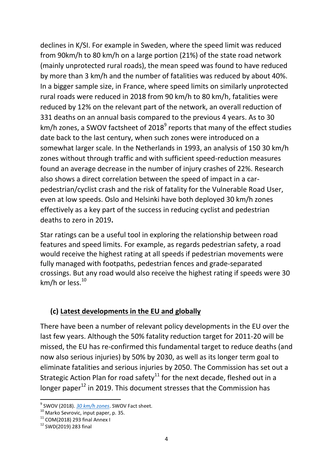declines in K/SI. For example in Sweden, where the speed limit was reduced from 90km/h to 80 km/h on a large portion (21%) of the state road network (mainly unprotected rural roads), the mean speed was found to have reduced by more than 3 km/h and the number of fatalities was reduced by about 40%. In a bigger sample size, in France, where speed limits on similarly unprotected rural roads were reduced in 2018 from 90 km/h to 80 km/h, fatalities were reduced by 12% on the relevant part of the network, an overall reduction of 331 deaths on an annual basis compared to the previous 4 years. As to 30 km/h zones, a SWOV factsheet of 2018<sup>9</sup> reports that many of the effect studies date back to the last century, when such zones were introduced on a somewhat larger scale. In the Netherlands in 1993, an analysis of 150 30 km/h zones without through traffic and with sufficient speed-reduction measures found an average decrease in the number of injury crashes of 22%. Research also shows a direct correlation between the speed of impact in a carpedestrian/cyclist crash and the risk of fatality for the Vulnerable Road User, even at low speeds. Oslo and Helsinki have both deployed 30 km/h zones effectively as a key part of the success in reducing cyclist and pedestrian deaths to zero in 2019**.**

Star ratings can be a useful tool in exploring the relationship between road features and speed limits. For example, as regards pedestrian safety, a road would receive the highest rating at all speeds if pedestrian movements were fully managed with footpaths, pedestrian fences and grade-separated crossings. But any road would also receive the highest rating if speeds were 30 km/h or less. 10

#### **(c) Latest developments in the EU and globally**

There have been a number of relevant policy developments in the EU over the last few years. Although the 50% fatality reduction target for 2011-20 will be missed, the EU has re-confirmed this fundamental target to reduce deaths (and now also serious injuries) by 50% by 2030, as well as its longer term goal to eliminate fatalities and serious injuries by 2050. The Commission has set out a Strategic Action Plan for road safety<sup>11</sup> for the next decade, fleshed out in a longer paper<sup>12</sup> in 2019. This document stresses that the Commission has

**.** 

<sup>9</sup> SWOV (2018). *[30 km/h zones](https://urldefense.com/v3/__https:/www.swov.nl/en/facts-figures/factsheet/30-kmh-zones__;!!DOxrgLBm!VyFI6ZZ_bjXBUbSZ-FFIRGQjIVnvoTIf--xpzD3mXX5ulzh1-HzE2KddQUD10AAbgIqw9UCrHA$)*. SWOV Fact sheet.

<sup>&</sup>lt;sup>10</sup> Marko Sevrovic, input paper, p. 35.

<sup>11</sup> COM(2018) 293 final Annex I

 $12$  SWD(2019) 283 final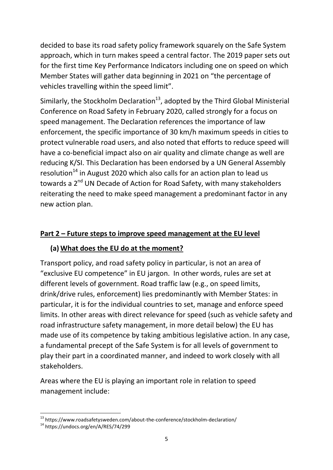decided to base its road safety policy framework squarely on the Safe System approach, which in turn makes speed a central factor. The 2019 paper sets out for the first time Key Performance Indicators including one on speed on which Member States will gather data beginning in 2021 on "the percentage of vehicles travelling within the speed limit".

Similarly, the Stockholm Declaration<sup>13</sup>, adopted by the Third Global Ministerial Conference on Road Safety in February 2020, called strongly for a focus on speed management. The Declaration references the importance of law enforcement, the specific importance of 30 km/h maximum speeds in cities to protect vulnerable road users, and also noted that efforts to reduce speed will have a co-beneficial impact also on air quality and climate change as well are reducing K/SI. This Declaration has been endorsed by a UN General Assembly resolution<sup>14</sup> in August 2020 which also calls for an action plan to lead us towards a 2<sup>nd</sup> UN Decade of Action for Road Safety, with many stakeholders reiterating the need to make speed management a predominant factor in any new action plan.

#### **Part 2 – Future steps to improve speed management at the EU level**

#### **(a) What does the EU do at the moment?**

Transport policy, and road safety policy in particular, is not an area of "exclusive EU competence" in EU jargon. In other words, rules are set at different levels of government. Road traffic law (e.g., on speed limits, drink/drive rules, enforcement) lies predominantly with Member States: in particular, it is for the individual countries to set, manage and enforce speed limits. In other areas with direct relevance for speed (such as vehicle safety and road infrastructure safety management, in more detail below) the EU has made use of its competence by taking ambitious legislative action. In any case, a fundamental precept of the Safe System is for all levels of government to play their part in a coordinated manner, and indeed to work closely with all stakeholders.

Areas where the EU is playing an important role in relation to speed management include:

1

<sup>&</sup>lt;sup>13</sup> https://www.roadsafetysweden.com/about-the-conference/stockholm-declaration/

<sup>14</sup> https://undocs.org/en/A/RES/74/299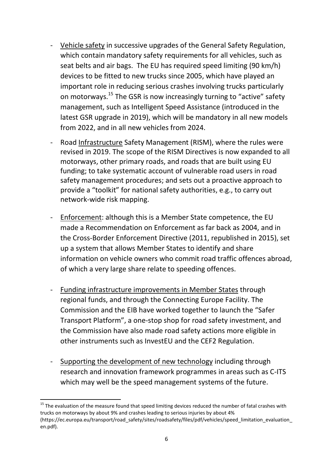- Vehicle safety in successive upgrades of the General Safety Regulation, which contain mandatory safety requirements for all vehicles, such as seat belts and air bags. The EU has required speed limiting (90 km/h) devices to be fitted to new trucks since 2005, which have played an important role in reducing serious crashes involving trucks particularly on motorways.<sup>15</sup> The GSR is now increasingly turning to "active" safety management, such as Intelligent Speed Assistance (introduced in the latest GSR upgrade in 2019), which will be mandatory in all new models from 2022, and in all new vehicles from 2024.
- Road Infrastructure Safety Management (RISM), where the rules were revised in 2019. The scope of the RISM Directives is now expanded to all motorways, other primary roads, and roads that are built using EU funding; to take systematic account of vulnerable road users in road safety management procedures; and sets out a proactive approach to provide a "toolkit" for national safety authorities, e.g., to carry out network-wide risk mapping.
- Enforcement: although this is a Member State competence, the EU made a Recommendation on Enforcement as far back as 2004, and in the Cross-Border Enforcement Directive (2011, republished in 2015), set up a system that allows Member States to identify and share information on vehicle owners who commit road traffic offences abroad, of which a very large share relate to speeding offences.
- Funding infrastructure improvements in Member States through regional funds, and through the Connecting Europe Facility. The Commission and the EIB have worked together to launch the "Safer Transport Platform", a one-stop shop for road safety investment, and the Commission have also made road safety actions more eligible in other instruments such as InvestEU and the CEF2 Regulation.
- Supporting the development of new technology including through research and innovation framework programmes in areas such as C-ITS which may well be the speed management systems of the future.

**.** 

<sup>&</sup>lt;sup>15</sup> The evaluation of the measure found that speed limiting devices reduced the number of fatal crashes with trucks on motorways by about 9% and crashes leading to serious injuries by about 4% (https://ec.europa.eu/transport/road\_safety/sites/roadsafety/files/pdf/vehicles/speed\_limitation\_evaluation\_ en.pdf).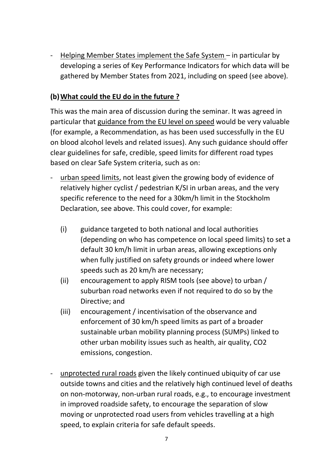Helping Member States implement the Safe System – in particular by developing a series of Key Performance Indicators for which data will be gathered by Member States from 2021, including on speed (see above).

## **(b)What could the EU do in the future ?**

This was the main area of discussion during the seminar. It was agreed in particular that guidance from the EU level on speed would be very valuable (for example, a Recommendation, as has been used successfully in the EU on blood alcohol levels and related issues). Any such guidance should offer clear guidelines for safe, credible, speed limits for different road types based on clear Safe System criteria, such as on:

- urban speed limits, not least given the growing body of evidence of relatively higher cyclist / pedestrian K/SI in urban areas, and the very specific reference to the need for a 30km/h limit in the Stockholm Declaration, see above. This could cover, for example:
	- (i) guidance targeted to both national and local authorities (depending on who has competence on local speed limits) to set a default 30 km/h limit in urban areas, allowing exceptions only when fully justified on safety grounds or indeed where lower speeds such as 20 km/h are necessary;
	- (ii) encouragement to apply RISM tools (see above) to urban / suburban road networks even if not required to do so by the Directive; and
	- (iii) encouragement / incentivisation of the observance and enforcement of 30 km/h speed limits as part of a broader sustainable urban mobility planning process (SUMPs) linked to other urban mobility issues such as health, air quality, CO2 emissions, congestion.
- unprotected rural roads given the likely continued ubiquity of car use outside towns and cities and the relatively high continued level of deaths on non-motorway, non-urban rural roads, e.g., to encourage investment in improved roadside safety, to encourage the separation of slow moving or unprotected road users from vehicles travelling at a high speed, to explain criteria for safe default speeds.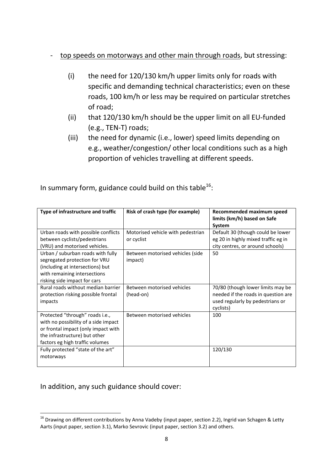#### top speeds on motorways and other main through roads, but stressing:

- (i) the need for 120/130 km/h upper limits only for roads with specific and demanding technical characteristics; even on these roads, 100 km/h or less may be required on particular stretches of road;
- (ii) that 120/130 km/h should be the upper limit on all EU-funded (e.g., TEN-T) roads;
- (iii) the need for dynamic (i.e., lower) speed limits depending on e.g., weather/congestion/ other local conditions such as a high proportion of vehicles travelling at different speeds.

| Type of infrastructure and traffic   | Risk of crash type (for example)  | Recommended maximum speed<br>limits (km/h) based on Safe |
|--------------------------------------|-----------------------------------|----------------------------------------------------------|
|                                      |                                   | System                                                   |
| Urban roads with possible conflicts  | Motorised vehicle with pedestrian | Default 30 (though could be lower                        |
| between cyclists/pedestrians         | or cyclist                        | eg 20 in highly mixed traffic eg in                      |
| (VRU) and motorised vehicles.        |                                   | city centres, or around schools)                         |
| Urban / suburban roads with fully    | Between motorised vehicles (side  | 50                                                       |
| segregated protection for VRU        | impact)                           |                                                          |
| (including at intersections) but     |                                   |                                                          |
| with remaining intersections         |                                   |                                                          |
| risking side impact for cars         |                                   |                                                          |
| Rural roads without median barrier   | Between motorised vehicles        | 70/80 (though lower limits may be                        |
| protection risking possible frontal  | (head-on)                         | needed if the roads in question are                      |
| impacts                              |                                   | used regularly by pedestrians or                         |
|                                      |                                   | cyclists)                                                |
| Protected "through" roads i.e.,      | Between motorised vehicles        | 100                                                      |
| with no possibility of a side impact |                                   |                                                          |
| or frontal impact (only impact with  |                                   |                                                          |
| the infrastructure) but other        |                                   |                                                          |
| factors eg high traffic volumes      |                                   |                                                          |
| Fully protected "state of the art"   |                                   | 120/130                                                  |
| motorways                            |                                   |                                                          |
|                                      |                                   |                                                          |

In summary form, guidance could build on this table<sup>16</sup>:

In addition, any such guidance should cover:

<sup>1</sup> <sup>16</sup> Drawing on different contributions by Anna Vadeby (input paper, section 2.2), Ingrid van Schagen & Letty Aarts (input paper, section 3.1), Marko Sevrovic (input paper, section 3.2) and others.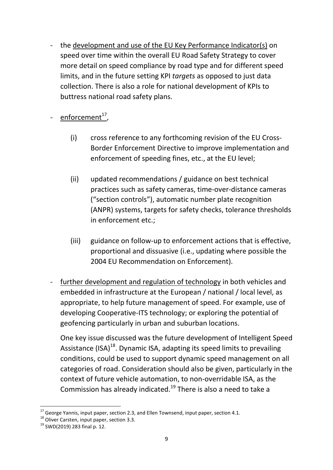the development and use of the EU Key Performance Indicator(s) on speed over time within the overall EU Road Safety Strategy to cover more detail on speed compliance by road type and for different speed limits, and in the future setting KPI *targets* as opposed to just data collection. There is also a role for national development of KPIs to buttress national road safety plans.

- enforcement<sup>17</sup>,

- (i) cross reference to any forthcoming revision of the EU Cross-Border Enforcement Directive to improve implementation and enforcement of speeding fines, etc., at the EU level;
- (ii) updated recommendations / guidance on best technical practices such as safety cameras, time-over-distance cameras ("section controls"), automatic number plate recognition (ANPR) systems, targets for safety checks, tolerance thresholds in enforcement etc.;
- (iii) guidance on follow-up to enforcement actions that is effective, proportional and dissuasive (i.e., updating where possible the 2004 EU Recommendation on Enforcement).
- further development and regulation of technology in both vehicles and embedded in infrastructure at the European / national / local level, as appropriate, to help future management of speed. For example, use of developing Cooperative-ITS technology; or exploring the potential of geofencing particularly in urban and suburban locations.

One key issue discussed was the future development of Intelligent Speed Assistance (ISA)<sup>18</sup>. Dynamic ISA, adapting its speed limits to prevailing conditions, could be used to support dynamic speed management on all categories of road. Consideration should also be given, particularly in the context of future vehicle automation, to non-overridable ISA, as the Commission has already indicated.<sup>19</sup> There is also a need to take a

**<sup>.</sup>**  $17$  George Yannis, input paper, section 2.3, and Ellen Townsend, input paper, section 4.1.

<sup>&</sup>lt;sup>18</sup> Oliver Carsten, input paper, section 3.3.

<sup>19</sup> SWD(2019) 283 final p. 12.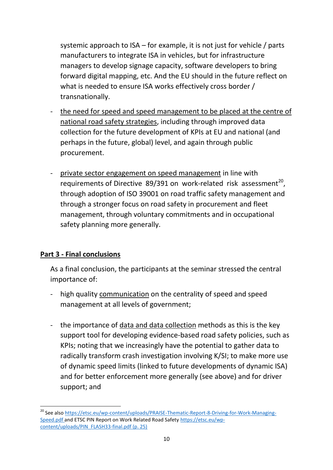systemic approach to ISA – for example, it is not just for vehicle / parts manufacturers to integrate ISA in vehicles, but for infrastructure managers to develop signage capacity, software developers to bring forward digital mapping, etc. And the EU should in the future reflect on what is needed to ensure ISA works effectively cross border / transnationally.

- the need for speed and speed management to be placed at the centre of national road safety strategies, including through improved data collection for the future development of KPIs at EU and national (and perhaps in the future, global) level, and again through public procurement.
- private sector engagement on speed management in line with requirements of Directive 89/391 on work-related risk assessment<sup>20</sup>, through adoption of ISO 39001 on road traffic safety management and through a stronger focus on road safety in procurement and fleet management, through voluntary commitments and in occupational safety planning more generally.

## **Part 3 - Final conclusions**

**.** 

As a final conclusion, the participants at the seminar stressed the central importance of:

- high quality communication on the centrality of speed and speed management at all levels of government;
- the importance of data and data collection methods as this is the key support tool for developing evidence-based road safety policies, such as KPIs; noting that we increasingly have the potential to gather data to radically transform crash investigation involving K/SI; to make more use of dynamic speed limits (linked to future developments of dynamic ISA) and for better enforcement more generally (see above) and for driver support; and

<sup>&</sup>lt;sup>20</sup> See also [https://etsc.eu/wp-content/uploads/PRAISE-Thematic-Report-8-Driving-for-Work-Managing-](https://etsc.eu/wp-content/uploads/PRAISE-Thematic-Report-8-Driving-for-Work-Managing-Speed.pdf)[Speed.pdf](https://etsc.eu/wp-content/uploads/PRAISE-Thematic-Report-8-Driving-for-Work-Managing-Speed.pdf) and ETSC PIN Report on Work Related Road Safet[y https://etsc.eu/wp](https://etsc.eu/wp-content/uploads/PIN_FLASH33-final.pdf)[content/uploads/PIN\\_FLASH33-final.pdf](https://etsc.eu/wp-content/uploads/PIN_FLASH33-final.pdf) (p. 25)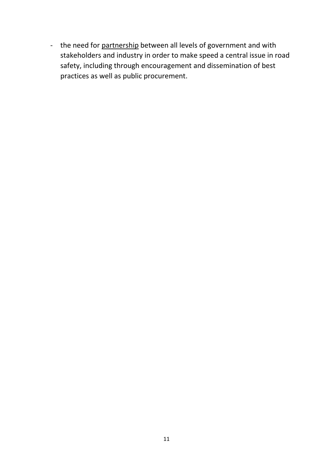- the need for partnership between all levels of government and with stakeholders and industry in order to make speed a central issue in road safety, including through encouragement and dissemination of best practices as well as public procurement.